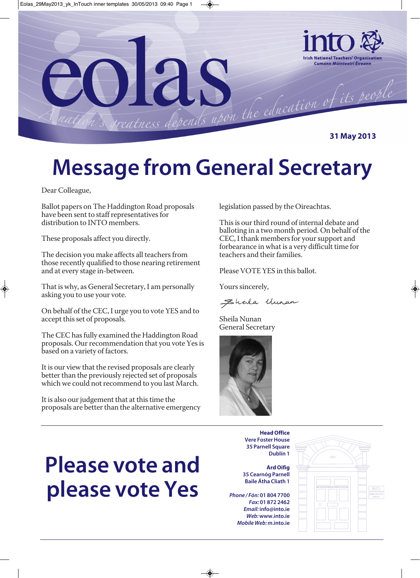

## **Message from General Secretary**

Dear Colleague,

Ballot papers on The Haddington Road proposals have been sent to staff representatives for distribution to INTO members.

These proposals affect you directly.

The decision you make affects all teachers from those recently qualified to those nearing retirement and at every stage in-between.

That is why, as General Secretary, I am personally asking you to use your vote.

On behalf of the CEC, I urge you to vote YES and to accept this set of proposals.

The CEC has fully examined the Haddington Road proposals. Our recommendation that you vote Yes is based on a variety of factors.

It is our view that the revised proposals are clearly better than the previously rejected set of proposals which we could not recommend to you last March.

It is also our judgement that at this time the proposals are better than the alternative emergency legislation passed by the Oireachtas.

This is our third round of internal debate and balloting in a two month period. On behalf of the CEC, I thank members for your support and forbearance in what is a very difficult time for teachers and their families.

Please VOTE YES in this ballot.

Yours sincerely,

Ehala Uman

Sheila Nunan General Secretary



**Please vote and please vote Yes**

**Head Office Vere Foster House 35 Parnell Square Dublin 1**

**Ard Oifig 35 Cearnóg Parnell Baile Átha Cliath 1**

*Phone / Fón:* **01 804 7700** *Fax:* **01 872 2462**  *Email:* **info@into.ie** *Web:* **www.into.ie** *Mobile Web: m***.into.ie**